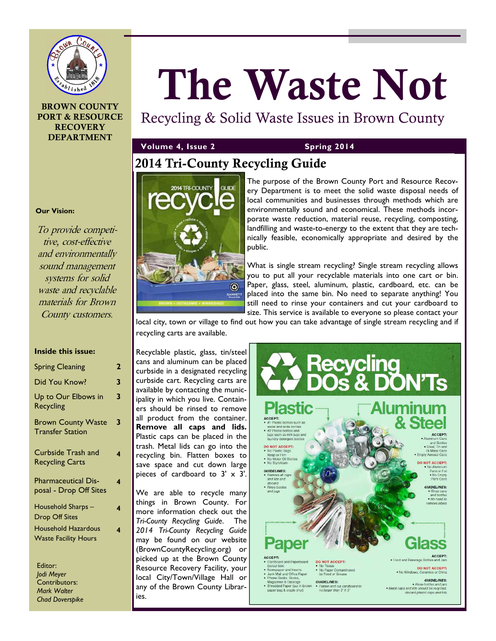

# **BROWN COUNTY PORT & RESOURCE RECOVERY DEPARTMENT**

# **The Waste Not**

Recycling & Solid Waste Issues in Brown County

# **Volume 4, Issue 2** Spring 2014

# **2014 Tri-County Recycling Guide**



The purpose of the Brown County Port and Resource Recovery Department is to meet the solid waste disposal needs of local communities and businesses through methods which are environmentally sound and economical. These methods incorporate waste reduction, material reuse, recycling, composting, landfilling and waste-to-energy to the extent that they are technically feasible, economically appropriate and desired by the public.

What is single stream recycling? Single stream recycling allows you to put all your recyclable materials into one cart or bin. Paper, glass, steel, aluminum, plastic, cardboard, etc. can be placed into the same bin. No need to separate anything! You still need to rinse your containers and cut your cardboard to size. This service is available to everyone so please contact your

local city, town or village to find out how you can take advantage of single stream recycling and if recycling carts are available.

Recyclable plastic, glass, tin/steel cans and aluminum can be placed curbside in a designated recycling curbside cart. Recycling carts are available by contacting the municipality in which you live. Containers should be rinsed to remove all product from the container. **Remove all caps and lids.**  Plastic caps can be placed in the trash. Metal lids can go into the recycling bin. Flatten boxes to save space and cut down large pieces of cardboard to 3' x 3'.

We are able to recycle many things in Brown County. For more information check out the *Tri-County Recycling Guide*. The *2014 Tri-County Recycling Guide*  may be found on our website (BrownCountyRecycling.org) or picked up at the Brown County Resource Recovery Facility, your local City/Town/Village Hall or any of the Brown County Libraries.



# **Our Vision:**

To provide competitive, cost-effective and environmentally sound management systems for solid waste and recyclable materials for Brown County customers.

#### **Inside this issue:**

| <b>Spring Cleaning</b>                                    | 2 |
|-----------------------------------------------------------|---|
| Did You Know?                                             | 3 |
| Up to Our Elbows in<br><b>Recycling</b>                   | 3 |
| <b>Brown County Waste</b><br><b>Transfer Station</b>      | 3 |
| Curbside Trash and<br><b>Recycling Carts</b>              | 4 |
| <b>Pharmaceutical Dis-</b><br>posal - Drop Off Sites      | 4 |
| Household Sharps –<br><b>Drop Off Sites</b>               | 4 |
| <b>Household Hazardous</b><br><b>Waste Facility Hours</b> | 4 |
| Editor:                                                   |   |

*Jodi Meyer*  Contributors: *Mark Walter Chad Doverspike*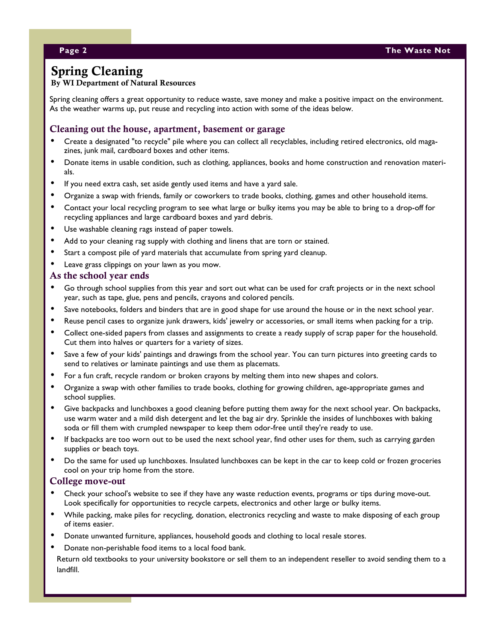# **Spring Cleaning**

# **By WI Department of Natural Resources**

Spring cleaning offers a great opportunity to reduce waste, save money and make a positive impact on the environment. As the weather warms up, put reuse and recycling into action with some of the ideas below.

# **Cleaning out the house, apartment, basement or garage**

- Create a designated "to recycle" pile where you can collect all recyclables, including retired electronics, old magazines, junk mail, cardboard boxes and other items.
- Donate items in usable condition, such as clothing, appliances, books and home construction and renovation materials.
- If you need extra cash, set aside gently used items and have a yard sale.
- Organize a swap with friends, family or coworkers to trade books, clothing, games and other household items.
- Contact your local recycling program to see what large or bulky items you may be able to bring to a drop-off for recycling appliances and large cardboard boxes and yard debris.
- Use washable cleaning rags instead of paper towels.
- Add to your cleaning rag supply with clothing and linens that are torn or stained.
- Start a compost pile of yard materials that accumulate from spring yard cleanup.
- Leave grass clippings on your lawn as you mow.

#### **As the school year ends**

- Go through school supplies from this year and sort out what can be used for craft projects or in the next school year, such as tape, glue, pens and pencils, crayons and colored pencils.
- Save notebooks, folders and binders that are in good shape for use around the house or in the next school year.
- Reuse pencil cases to organize junk drawers, kids' jewelry or accessories, or small items when packing for a trip.
- Collect one-sided papers from classes and assignments to create a ready supply of scrap paper for the household. Cut them into halves or quarters for a variety of sizes.
- Save a few of your kids' paintings and drawings from the school year. You can turn pictures into greeting cards to send to relatives or laminate paintings and use them as placemats.
- For a fun craft, recycle random or broken crayons by melting them into new shapes and colors.
- Organize a swap with other families to trade books, clothing for growing children, age-appropriate games and school supplies.
- Give backpacks and lunchboxes a good cleaning before putting them away for the next school year. On backpacks, use warm water and a mild dish detergent and let the bag air dry. Sprinkle the insides of lunchboxes with baking soda or fill them with crumpled newspaper to keep them odor-free until they're ready to use.
- If backpacks are too worn out to be used the next school year, find other uses for them, such as carrying garden supplies or beach toys.
- Do the same for used up lunchboxes. Insulated lunchboxes can be kept in the car to keep cold or frozen groceries cool on your trip home from the store.

#### **College move-out**

- Check your school's website to see if they have any waste reduction events, programs or tips during move-out. Look specifically for opportunities to recycle carpets, electronics and other large or bulky items.
- While packing, make piles for recycling, donation, electronics recycling and waste to make disposing of each group of items easier.
- Donate unwanted furniture, appliances, household goods and clothing to local resale stores.
- Donate non-perishable food items to a local food bank.

Return old textbooks to your university bookstore or sell them to an independent reseller to avoid sending them to a landfill.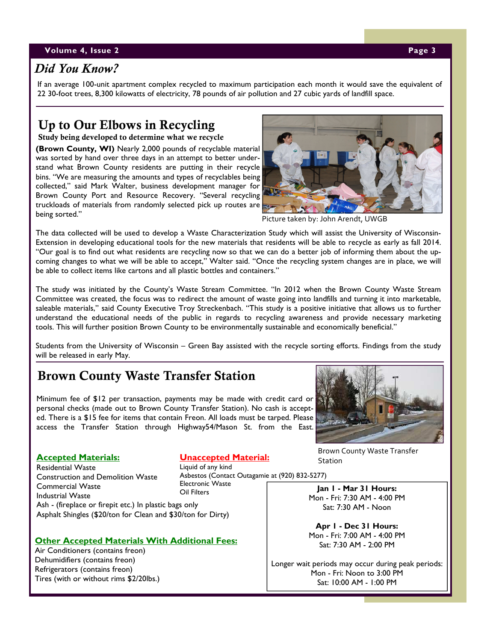#### **V**olume 4, Issue 2 **Page 3** Page 3 **Page 3**

# *Did You Know?*

If an average 100-unit apartment complex recycled to maximum participation each month it would save the equivalent of 22 30-foot trees, 8,300 kilowatts of electricity, 78 pounds of air pollution and 27 cubic yards of landfill space.

# **Up to Our Elbows in Recycling**

**Study being developed to determine what we recycle** 

**(Brown County, WI)** Nearly 2,000 pounds of recyclable material was sorted by hand over three days in an attempt to better understand what Brown County residents are putting in their recycle bins. "We are measuring the amounts and types of recyclables being collected," said Mark Walter, business development manager for Brown County Port and Resource Recovery. "Several recycling truckloads of materials from randomly selected pick up routes are being sorted."



Picture taken by: John Arendt, UWGB

The data collected will be used to develop a Waste Characterization Study which will assist the University of Wisconsin-Extension in developing educational tools for the new materials that residents will be able to recycle as early as fall 2014. "Our goal is to find out what residents are recycling now so that we can do a better job of informing them about the upcoming changes to what we will be able to accept," Walter said. "Once the recycling system changes are in place, we will be able to collect items like cartons and all plastic bottles and containers."

The study was initiated by the County's Waste Stream Committee. "In 2012 when the Brown County Waste Stream Committee was created, the focus was to redirect the amount of waste going into landfills and turning it into marketable, saleable materials," said County Executive Troy Streckenbach. "This study is a positive initiative that allows us to further understand the educational needs of the public in regards to recycling awareness and provide necessary marketing tools. This will further position Brown County to be environmentally sustainable and economically beneficial."

Students from the University of Wisconsin – Green Bay assisted with the recycle sorting efforts. Findings from the study will be released in early May.

# **Brown County Waste Transfer Station**

Minimum fee of \$12 per transaction, payments may be made with credit card or personal checks (made out to Brown County Transfer Station). No cash is accepted. There is a \$15 fee for items that contain Freon. All loads must be tarped. Please access the Transfer Station through Highway54/Mason St. from the East.



#### **Accepted Materials:**

Residential Waste Construction and Demolition Waste Commercial Waste Industrial Waste

# **Unaccepted Material:**

Liquid of any kind Asbestos (Contact Outagamie at (920) 832-5277) Electronic Waste Oil Filters

Ash - (fireplace or firepit etc.) In plastic bags only Asphalt Shingles (\$20/ton for Clean and \$30/ton for Dirty)

## **Other Accepted Materials With Additional Fees:**

Air Conditioners (contains freon) Dehumidifiers (contains freon) Refrigerators (contains freon) Tires (with or without rims \$2/20lbs.)

Brown County Waste Transfer **Station** 

**Jan 1 - Mar 31 Hours:** Mon - Fri: 7:30 AM - 4:00 PM Sat: 7:30 AM - Noon

**Apr 1 - Dec 31 Hours:** Mon - Fri: 7:00 AM - 4:00 PM Sat: 7:30 AM - 2:00 PM

Longer wait periods may occur during peak periods: Mon - Fri: Noon to 3:00 PM Sat: 10:00 AM - 1:00 PM